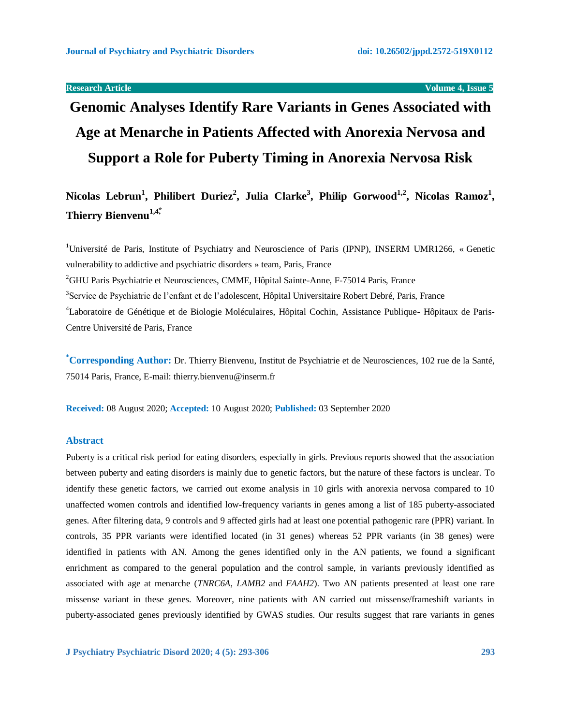**Research Article Volume 4, Issue 5** 

# **Genomic Analyses Identify Rare Variants in Genes Associated with Age at Menarche in Patients Affected with Anorexia Nervosa and Support a Role for Puberty Timing in Anorexia Nervosa Risk**

**Nicolas Lebrun<sup>1</sup> , Philibert Duriez<sup>2</sup> , Julia Clarke<sup>3</sup> , Philip Gorwood1,2, Nicolas Ramoz<sup>1</sup> , Thierry Bienvenu<sup>1,4\*</sup>** 

<sup>1</sup>Université de Paris, Institute of Psychiatry and Neuroscience of Paris (IPNP), INSERM UMR1266, « Genetic vulnerability to addictive and psychiatric disorders » team, Paris, France <sup>2</sup>GHU Paris Psychiatrie et Neurosciences, CMME, Hôpital Sainte-Anne, F-75014 Paris, France <sup>3</sup>Service de Psychiatrie de l'enfant et de l'adolescent, Hôpital Universitaire Robert Debré, Paris, France <sup>4</sup>Laboratoire de Génétique et de Biologie Moléculaires, Hôpital Cochin, Assistance Publique- Hôpitaux de Paris-Centre Université de Paris, France

**\*Corresponding Author:** Dr. Thierry Bienvenu, Institut de Psychiatrie et de Neurosciences, 102 rue de la Santé, 75014 Paris, France, E-mail: [thierry.bienvenu@inserm.fr](mailto:thierry.bienvenu@inserm.fr)

**Received:** 08 August 2020; **Accepted:** 10 August 2020; **Published:** 03 September 2020

# **Abstract**

Puberty is a critical risk period for eating disorders, especially in girls. Previous reports showed that the association between puberty and eating disorders is mainly due to genetic factors, but the nature of these factors is unclear. To identify these genetic factors, we carried out exome analysis in 10 girls with anorexia nervosa compared to 10 unaffected women controls and identified low-frequency variants in genes among a list of 185 puberty-associated genes. After filtering data, 9 controls and 9 affected girls had at least one potential pathogenic rare (PPR) variant. In controls, 35 PPR variants were identified located (in 31 genes) whereas 52 PPR variants (in 38 genes) were identified in patients with AN. Among the genes identified only in the AN patients, we found a significant enrichment as compared to the general population and the control sample, in variants previously identified as associated with age at menarche (*TNRC6A*, *LAMB2* and *FAAH2*). Two AN patients presented at least one rare missense variant in these genes. Moreover, nine patients with AN carried out missense/frameshift variants in puberty-associated genes previously identified by GWAS studies. Our results suggest that rare variants in genes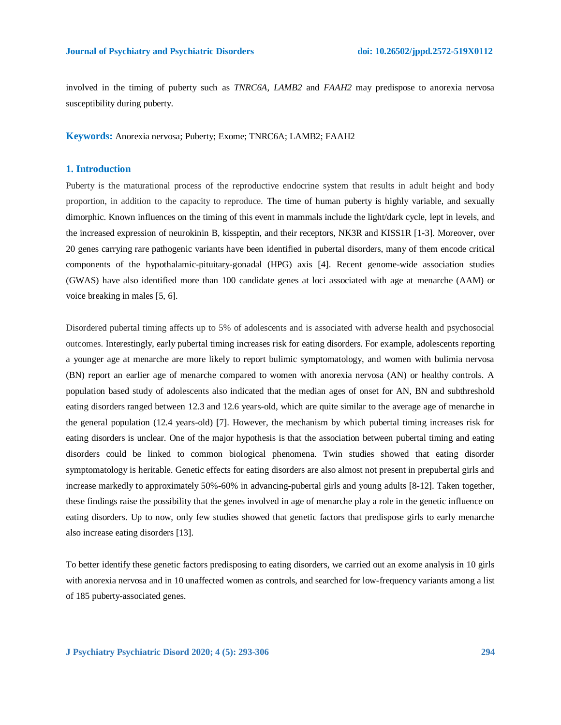involved in the timing of puberty such as *TNRC6A*, *LAMB2* and *FAAH2* may predispose to anorexia nervosa susceptibility during puberty.

**Keywords:** Anorexia nervosa; Puberty; Exome; TNRC6A; LAMB2; FAAH2

# **1. Introduction**

Puberty is the maturational process of the reproductive endocrine system that results in adult height and body proportion, in addition to the capacity to reproduce. The time of human puberty is highly variable, and sexually dimorphic. Known influences on the timing of this event in mammals include the light/dark cycle, lept in levels, and the increased expression of neurokinin B, kisspeptin, and their receptors, NK3R and KISS1R [1-3]. Moreover, over 20 genes carrying rare pathogenic variants have been identified in pubertal disorders, many of them encode critical components of the hypothalamic-pituitary-gonadal (HPG) axis [4]. Recent genome-wide association studies (GWAS) have also identified more than 100 candidate genes at loci associated with age at menarche (AAM) or voice breaking in males [5, 6].

Disordered pubertal timing affects up to 5% of adolescents and is associated with adverse health and psychosocial outcomes. Interestingly, early pubertal timing increases risk for eating disorders. For example, adolescents reporting a younger age at menarche are more likely to report bulimic symptomatology, and women with bulimia nervosa (BN) report an earlier age of menarche compared to women with anorexia nervosa (AN) or healthy controls. A population based study of adolescents also indicated that the median ages of onset for AN, BN and subthreshold eating disorders ranged between 12.3 and 12.6 years-old, which are quite similar to the average age of menarche in the general population (12.4 years-old) [7]. However, the mechanism by which pubertal timing increases risk for eating disorders is unclear. One of the major hypothesis is that the association between pubertal timing and eating disorders could be linked to common biological phenomena. Twin studies showed that eating disorder symptomatology is heritable. Genetic effects for eating disorders are also almost not present in prepubertal girls and increase markedly to approximately 50%-60% in advancing-pubertal girls and young adults [8-12]. Taken together, these findings raise the possibility that the genes involved in age of menarche play a role in the genetic influence on eating disorders. Up to now, only few studies showed that genetic factors that predispose girls to early menarche also increase eating disorders [13].

To better identify these genetic factors predisposing to eating disorders, we carried out an exome analysis in 10 girls with anorexia nervosa and in 10 unaffected women as controls, and searched for low-frequency variants among a list of 185 puberty-associated genes.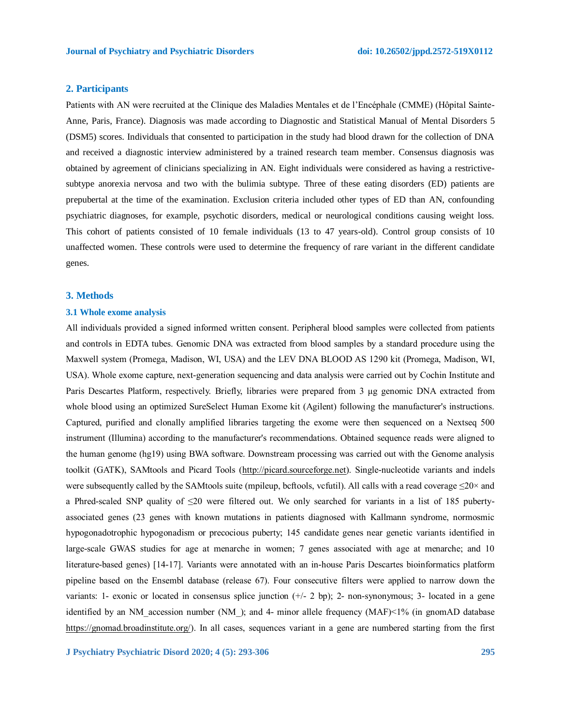# **2. Participants**

Patients with AN were recruited at the Clinique des Maladies Mentales et de l'Encéphale (CMME) (Hôpital Sainte-Anne, Paris, France). Diagnosis was made according to Diagnostic and Statistical Manual of Mental Disorders 5 (DSM5) scores. Individuals that consented to participation in the study had blood drawn for the collection of DNA and received a diagnostic interview administered by a trained research team member. Consensus diagnosis was obtained by agreement of clinicians specializing in AN. Eight individuals were considered as having a restrictivesubtype anorexia nervosa and two with the bulimia subtype. Three of these eating disorders (ED) patients are prepubertal at the time of the examination. Exclusion criteria included other types of ED than AN, confounding psychiatric diagnoses, for example, psychotic disorders, medical or neurological conditions causing weight loss. This cohort of patients consisted of 10 female individuals (13 to 47 years-old). Control group consists of 10 unaffected women. These controls were used to determine the frequency of rare variant in the different candidate genes.

### **3. Methods**

# **3.1 Whole exome analysis**

All individuals provided a signed informed written consent. Peripheral blood samples were collected from patients and controls in EDTA tubes. Genomic DNA was extracted from blood samples by a standard procedure using the Maxwell system (Promega, Madison, WI, USA) and the LEV DNA BLOOD AS 1290 kit (Promega, Madison, WI, USA). Whole exome capture, next-generation sequencing and data analysis were carried out by Cochin Institute and Paris Descartes Platform, respectively. Briefly, libraries were prepared from 3 μg genomic DNA extracted from whole blood using an optimized SureSelect Human Exome kit (Agilent) following the manufacturer's instructions. Captured, purified and clonally amplified libraries targeting the exome were then sequenced on a Nextseq 500 instrument (Illumina) according to the manufacturer's recommendations. Obtained sequence reads were aligned to the human genome (hg19) using BWA software. Downstream processing was carried out with the Genome analysis toolkit (GATK), SAMtools and Picard Tools [\(http://picard.sourceforge.net\)](http://picard.sourceforge.net/). Single-nucleotide variants and indels were subsequently called by the SAMtools suite (mpileup, beftools, vcfutil). All calls with a read coverage  $\leq 20 \times$  and a Phred-scaled SNP quality of ≤20 were filtered out. We only searched for variants in a list of 185 pubertyassociated genes (23 genes with known mutations in patients diagnosed with Kallmann syndrome, normosmic hypogonadotrophic hypogonadism or precocious puberty; 145 candidate genes near genetic variants identified in large-scale GWAS studies for age at menarche in women; 7 genes associated with age at menarche; and 10 literature-based genes) [14-17]. Variants were annotated with an in-house Paris Descartes bioinformatics platform pipeline based on the Ensembl database (release 67). Four consecutive filters were applied to narrow down the variants: 1- exonic or located in consensus splice junction  $(+/- 2$  bp); 2- non-synonymous; 3- located in a gene identified by an NM accession number (NM ); and 4- minor allele frequency (MAF)<1% (in gnomAD database [https://gnomad.broadinstitute.org/\)](https://gnomad.broadinstitute.org/). In all cases, sequences variant in a gene are numbered starting from the first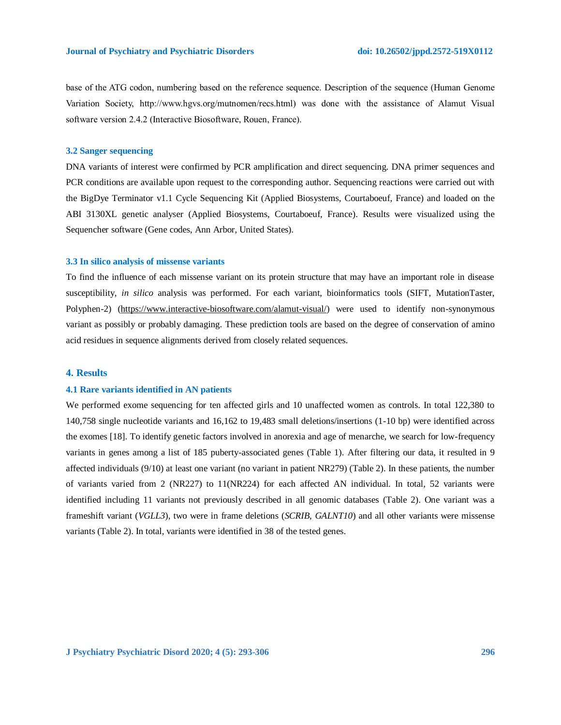base of the ATG codon, numbering based on the reference sequence. Description of the sequence (Human Genome Variation Society, http://www.hgvs.org/mutnomen/recs.html) was done with the assistance of Alamut Visual software version 2.4.2 (Interactive Biosoftware, Rouen, France).

# **3.2 Sanger sequencing**

DNA variants of interest were confirmed by PCR amplification and direct sequencing. DNA primer sequences and PCR conditions are available upon request to the corresponding author. Sequencing reactions were carried out with the BigDye Terminator v1.1 Cycle Sequencing Kit (Applied Biosystems, Courtaboeuf, France) and loaded on the ABI 3130XL genetic analyser (Applied Biosystems, Courtaboeuf, France). Results were visualized using the Sequencher software (Gene codes, Ann Arbor, United States).

# **3.3 In silico analysis of missense variants**

To find the influence of each missense variant on its protein structure that may have an important role in disease susceptibility, *in silico* analysis was performed. For each variant, bioinformatics tools (SIFT, MutationTaster, Polyphen-2) (https://www.interactive-biosoftware.com/alamut-visual/) were used to identify non-synonymous variant as possibly or probably damaging. These prediction tools are based on the degree of conservation of amino acid residues in sequence alignments derived from closely related sequences.

# **4. Results**

# **4.1 Rare variants identified in AN patients**

We performed exome sequencing for ten affected girls and 10 unaffected women as controls. In total 122,380 to 140,758 single nucleotide variants and 16,162 to 19,483 small deletions/insertions (1-10 bp) were identified across the exomes [18]. To identify genetic factors involved in anorexia and age of menarche, we search for low-frequency variants in genes among a list of 185 puberty-associated genes (Table 1). After filtering our data, it resulted in 9 affected individuals (9/10) at least one variant (no variant in patient NR279) (Table 2). In these patients, the number of variants varied from 2 (NR227) to 11(NR224) for each affected AN individual. In total, 52 variants were identified including 11 variants not previously described in all genomic databases (Table 2). One variant was a frameshift variant (*VGLL3*), two were in frame deletions (*SCRIB, GALNT10*) and all other variants were missense variants (Table 2). In total, variants were identified in 38 of the tested genes.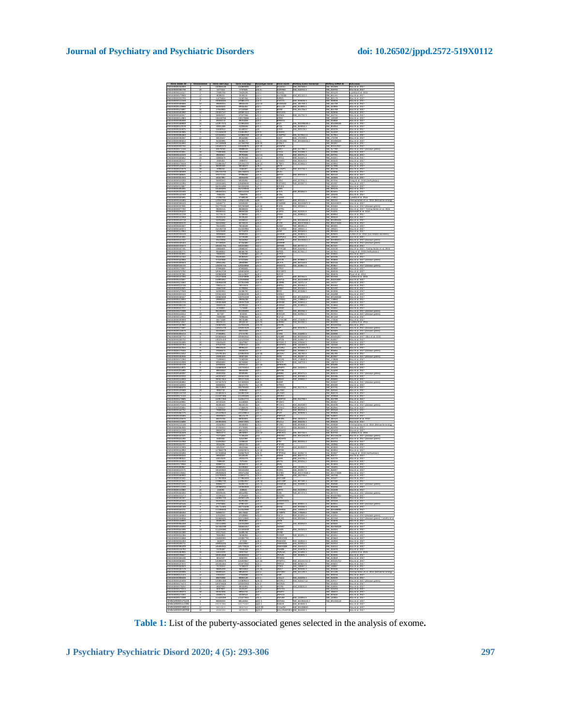|                                                                                                                                                                                                                                                                                                                                                                                                                                                           |                                                |                                                | Karyo                                                                                                                                                                                                                                                                                                                                                                                                                              | Gene nar                                 | RefSeq match transcrip                    | RefSeq mRNA ID                                           |                                                                                                                                       |
|-----------------------------------------------------------------------------------------------------------------------------------------------------------------------------------------------------------------------------------------------------------------------------------------------------------------------------------------------------------------------------------------------------------------------------------------------------------|------------------------------------------------|------------------------------------------------|------------------------------------------------------------------------------------------------------------------------------------------------------------------------------------------------------------------------------------------------------------------------------------------------------------------------------------------------------------------------------------------------------------------------------------|------------------------------------------|-------------------------------------------|----------------------------------------------------------|---------------------------------------------------------------------------------------------------------------------------------------|
| NSG0000024030<br><u>4860000018573</u><br>4860000011612                                                                                                                                                                                                                                                                                                                                                                                                    | 132558138<br>1177313<br>73365768               | 13266003                                       | q22.1<br>p15.3<br>p13.1<br>p13.1                                                                                                                                                                                                                                                                                                                                                                                                   | ACAD1<br>ADARB<br>ALMS1                  | NM_03216ta.t<br>NM_018702.4               | NM_03216<br>NM_01870<br>NM_01512<br>NM_00114             | bu et al. 201<br>x  et al. 201                                                                                                        |
|                                                                                                                                                                                                                                                                                                                                                                                                                                                           |                                                |                                                |                                                                                                                                                                                                                                                                                                                                                                                                                                    |                                          | W. 001141.                                |                                                          | etta et $\frac{1}{16}$ 2015<br>bu et al. 2                                                                                            |
| ENSG00000133794<br>11<br>NSG00000112249                                                                                                                                                                                                                                                                                                                                                                                                                   | 13276652<br>100508194                          | 13387266<br>10088137                           | p15.3<br>q16.3                                                                                                                                                                                                                                                                                                                                                                                                                     | ARNTL<br><b>SCC</b>                      | NM_006828.4                               | NM_001178<br>M_006829                                    | fou et al. 2017<br>lou et al. 2017                                                                                                    |
| 4SG/0000186666<br>4SG/0000119866                                                                                                                                                                                                                                                                                                                                                                                                                          | 49836043<br>60450520                           | 49843106<br>60554463                           | 313.1.<br>316.1                                                                                                                                                                                                                                                                                                                                                                                                                    | CDIN3<br>CL11A                           | NM_181708.3<br>NM_022893.4                | av. 18170)<br>av. 02280 <mark>:</mark>                   | bu et al. 201<br>bu et al. 201                                                                                                        |
| NSG0000017669                                                                                                                                                                                                                                                                                                                                                                                                                                             | 27654893                                       | 27722058                                       | 514.1                                                                                                                                                                                                                                                                                                                                                                                                                              | SDNF                                     | NM_001709.5                               | NM_001705                                                | lou et al. 201                                                                                                                        |
| 30000015191                                                                                                                                                                                                                                                                                                                                                                                                                                               | 1005<br>3714                                   | 702734                                         | 152<br>312                                                                                                                                                                                                                                                                                                                                                                                                                         | ENDE                                     | NM_152731.3                               | M CO<br>W. 15273                                         | ou et al.<br>bu et al. 201                                                                                                            |
| NSG00000112983<br>NSG00000185655<br>NSG00000188901<br>NSG00000112578                                                                                                                                                                                                                                                                                                                                                                                      | 138139766<br>39184176<br>122977570<br>41921499 | 138178086<br>39321550<br>122981834<br>41933046 | q31.2<br>q22.2<br>q24.1<br>p21.1                                                                                                                                                                                                                                                                                                                                                                                                   | 808<br>8WD                               |                                           | WM 139199<br>WM 139199<br>WM 001098<br>WM 004053         | <b>Example:</b><br>Example: 2017<br>Example: 2017<br>Example: 2017<br>Example: 2017                                                   |
|                                                                                                                                                                                                                                                                                                                                                                                                                                                           |                                                |                                                |                                                                                                                                                                                                                                                                                                                                                                                                                                    |                                          |                                           |                                                          |                                                                                                                                       |
|                                                                                                                                                                                                                                                                                                                                                                                                                                                           | 51630313                                       | 5216001                                        |                                                                                                                                                                                                                                                                                                                                                                                                                                    |                                          | M 020178.5                                |                                                          | bu et al. 201                                                                                                                         |
|                                                                                                                                                                                                                                                                                                                                                                                                                                                           |                                                |                                                | g22<br>g23<br>g31.5<br>g13.1                                                                                                                                                                                                                                                                                                                                                                                                       | A10<br>ADM                               |                                           | a <u>v (2017)</u><br>av 01433<br>av 01795<br>av 17570    | ou et al. 201<br>ou et al. 201                                                                                                        |
|                                                                                                                                                                                                                                                                                                                                                                                                                                                           |                                                |                                                |                                                                                                                                                                                                                                                                                                                                                                                                                                    |                                          |                                           |                                                          |                                                                                                                                       |
| NSG00000055813<br>VSG00000163660                                                                                                                                                                                                                                                                                                                                                                                                                          | 56183200<br>157146508                          | 56386172<br>157160760                          | 36.1<br>q25.3                                                                                                                                                                                                                                                                                                                                                                                                                      | CDC85/<br>CNL                            | NM_001080433.2                            | NM_001080433<br>M_02030                                  | fou et al. 2017<br>lou et al. 201                                                                                                     |
|                                                                                                                                                                                                                                                                                                                                                                                                                                                           |                                                | 263488<br>ICBB802                              | y22.3<br>112.2                                                                                                                                                                                                                                                                                                                                                                                                                     |                                          | NM_017780                                 | M_00101<br>M_01778                                       | pu et al. 201<br>pu et al. 201                                                                                                        |
| NSG0000010305                                                                                                                                                                                                                                                                                                                                                                                                                                             | 10480568                                       | 70623658                                       | 421                                                                                                                                                                                                                                                                                                                                                                                                                                | XX                                       | NM_015388.3                               | WV 01538                                                 | lou et al. 201                                                                                                                        |
|                                                                                                                                                                                                                                                                                                                                                                                                                                                           |                                                | 39791665<br>18782333                           | a14.1<br>b13.1                                                                                                                                                                                                                                                                                                                                                                                                                     | OGE<br>RTC                               | NM_020751<br>NM_015321                    | <b>M_0207</b>                                            | ou et al.                                                                                                                             |
| 00000010566                                                                                                                                                                                                                                                                                                                                                                                                                                               | 18683678                                       |                                                |                                                                                                                                                                                                                                                                                                                                                                                                                                    |                                          | NM_033225.6                               | M_01532                                                  | x  et al. 201                                                                                                                         |
| 180000018311<br>1800000175021<br>1800000140543<br>1800000170571                                                                                                                                                                                                                                                                                                                                                                                           | 2035353<br>12406431<br>88494440<br>3406032     | 4994972<br>12516117<br>68546675<br>4455307     | 123.2<br>126.1:<br>126.1<br>11.3:                                                                                                                                                                                                                                                                                                                                                                                                  | :<br>SMD1<br>:TBP2<br>€T1<br>€GAP        |                                           | VM 033225<br>VM 033225<br>VM 017306<br>VM 004746         | lou et al. 2017<br>lou et al. 2017<br>lou et al. 2017<br>lou et al. 2017                                                              |
|                                                                                                                                                                                                                                                                                                                                                                                                                                                           |                                                |                                                |                                                                                                                                                                                                                                                                                                                                                                                                                                    |                                          | NM 004746.4                               |                                                          |                                                                                                                                       |
|                                                                                                                                                                                                                                                                                                                                                                                                                                                           |                                                |                                                |                                                                                                                                                                                                                                                                                                                                                                                                                                    |                                          |                                           |                                                          | bu et al. 201                                                                                                                         |
|                                                                                                                                                                                                                                                                                                                                                                                                                                                           |                                                | 97995000<br>56954641                           | q32.2<br>p21.3<br>p12.1<br>q13.3                                                                                                                                                                                                                                                                                                                                                                                                   | XLK1<br>XPYD<br>XST                      | M_000110.4                                | M 003838<br>M 000116<br>M 183388<br>M 20703              | lou et al. 2017<br>lou et al. 2017<br>'ang et al. 2018 (m                                                                             |
|                                                                                                                                                                                                                                                                                                                                                                                                                                                           |                                                |                                                |                                                                                                                                                                                                                                                                                                                                                                                                                                    |                                          | NM_207034.3                               |                                                          |                                                                                                                                       |
| NSG00000132394<br>VSG0000011488                                                                                                                                                                                                                                                                                                                                                                                                                           | 128153481<br>184314405                         | 128408846<br>184335351                         | 421.3<br>42.                                                                                                                                                                                                                                                                                                                                                                                                                       | EEFSEC<br>IF4G1                          | NM_021937.5                               | NM_02193<br>M_19824-                                     | fou et al. 2017<br>lou et al. 2017                                                                                                    |
| 8G0000000183<br>8G0000024440                                                                                                                                                                                                                                                                                                                                                                                                                              |                                                | 15212961<br>18611031                           | 45.<br>47.                                                                                                                                                                                                                                                                                                                                                                                                                         |                                          | NM_004454.3                               | 84_00012<br>84_00445                                     | ou et al. 2011<br>ou et al. 2011                                                                                                      |
| VSG0000014245                                                                                                                                                                                                                                                                                                                                                                                                                                             | 7830233                                        | 7864976                                        | 513.2                                                                                                                                                                                                                                                                                                                                                                                                                              | V6.                                      |                                           | W. 145245                                                | lou et al. 2017                                                                                                                       |
| NSG0000014538-                                                                                                                                                                                                                                                                                                                                                                                                                                            | 119317250                                      | 119322138                                      | 11.2<br>426                                                                                                                                                                                                                                                                                                                                                                                                                        | ABP2                                     | NM_000134.4                               | M_17491<br>NM_00013                                      | netta et al. 2015<br>Yemacherko et al. 2016 (Menarche timir                                                                           |
| 800000168143<br>80000010783143<br>8000000077782<br>8000000165070                                                                                                                                                                                                                                                                                                                                                                                          | 5484677                                        | 54945098<br>101780981<br>38466834              | -<br> -<br> 24.3<br> 31.3                                                                                                                                                                                                                                                                                                                                                                                                          | FAMISS<br>FGF8<br>FGFR1<br>FLRT2         | NM_001010872<br>NM_033164.4               | WM 0010108<br>WM 0010108<br>WM 023110<br>WM 013231       | icu et al. 2017<br>Cu et al. 2017<br>Cu et al. 2017 (disease genea)<br>Cu et al. 2017; Yermechenko et al. 2016<br>emerath et al. 2013 |
|                                                                                                                                                                                                                                                                                                                                                                                                                                                           | 0177013<br>38400215<br>8553014                 |                                                |                                                                                                                                                                                                                                                                                                                                                                                                                                    |                                          |                                           |                                                          |                                                                                                                                       |
|                                                                                                                                                                                                                                                                                                                                                                                                                                                           |                                                |                                                |                                                                                                                                                                                                                                                                                                                                                                                                                                    |                                          | MM 019291 A                               |                                                          |                                                                                                                                       |
|                                                                                                                                                                                                                                                                                                                                                                                                                                                           | 11770176                                       |                                                | p21.<br>p14.<br>q12.                                                                                                                                                                                                                                                                                                                                                                                                               | RS3<br>SHB<br>TO                         | M_006653.5                                |                                                          | ou et al. 201                                                                                                                         |
|                                                                                                                                                                                                                                                                                                                                                                                                                                                           |                                                |                                                |                                                                                                                                                                                                                                                                                                                                                                                                                                    |                                          | M_0010804                                 | M_006653<br>M_000510<br>M_001060<br>M_001371             | ou et al. 201<br>ou et al. 201                                                                                                        |
| NSG0000003332                                                                                                                                                                                                                                                                                                                                                                                                                                             | 78215293                                       | 78418348                                       | q14.1                                                                                                                                                                                                                                                                                                                                                                                                                              | 3AB2                                     | NM_080491.3                               | NM_080491                                                | fou et al. 2017                                                                                                                       |
| VSG0000016457<br>\$6000011296                                                                                                                                                                                                                                                                                                                                                                                                                             | 154190730<br>42423431                          | 15442098<br>42721878                           | gis 2<br>13                                                                                                                                                                                                                                                                                                                                                                                                                        | ALNT<br>жR                               | M_198321<br>M. 000163.                    | M_19832<br>M_000163                                      | lou et al. 2017<br>ou et al. 2017                                                                                                     |
| NSG0000010612                                                                                                                                                                                                                                                                                                                                                                                                                                             | 3093866                                        | 3099325                                        | p14.3                                                                                                                                                                                                                                                                                                                                                                                                                              | HRHR<br>INPDA:                           | NM 000823.                                | NM_00082                                                 | chen et al. 2019 (sex-related                                                                                                         |
| ISG0000016326<br>0000014745                                                                                                                                                                                                                                                                                                                                                                                                                               | 468220                                         | 4472658                                        | 512                                                                                                                                                                                                                                                                                                                                                                                                                                |                                          | M_138335.1<br>M_0010831                   | M_13833<br>M_00108                                       | xu et al. 201                                                                                                                         |
| NSG0000010916                                                                                                                                                                                                                                                                                                                                                                                                                                             | 67739328                                       | 67754360                                       | p21.2<br>q13.2                                                                                                                                                                                                                                                                                                                                                                                                                     | <b>JNRHR</b>                             |                                           | VM_000406                                                | ou et al. 2017 (disease genes<br>ou et al. 2017 (disease genes                                                                        |
| NSG00000135972<br>NSG00000167191<br>NSG00000162771<br>NSG00000263001                                                                                                                                                                                                                                                                                                                                                                                      | 105241743<br>19856691                          | 105243481<br>19886167                          | $\frac{q12.1}{12.3}$                                                                                                                                                                                                                                                                                                                                                                                                               | 3PR45<br>3PRC5<br>3RID1<br>3TF2I         | NM_007227.:<br>NM_016235.<br>NM_017551.:  | av 007227<br>av 016236<br>av 017551<br>av 033001         | ou et al. 2017<br>ou et al. 2017<br>ou et al. 2017; Yermachenko et al. 2018<br>ing et al. 2018 (methylation)<br>ou et al. 2017        |
|                                                                                                                                                                                                                                                                                                                                                                                                                                                           | 85599552<br>74650231                           | 86366795<br>74760692                           |                                                                                                                                                                                                                                                                                                                                                                                                                                    |                                          |                                           |                                                          |                                                                                                                                       |
| \$G0000013725                                                                                                                                                                                                                                                                                                                                                                                                                                             |                                                | 5528262                                        |                                                                                                                                                                                                                                                                                                                                                                                                                                    |                                          |                                           |                                                          |                                                                                                                                       |
|                                                                                                                                                                                                                                                                                                                                                                                                                                                           | 55106460<br>57197838<br>29941260               | 57227601<br>2004588                            |                                                                                                                                                                                                                                                                                                                                                                                                                                    | n F⊿<br>ICRTR<br>ESXI<br>LA-A<br>IS6ST   | M_003865.3                                |                                                          |                                                                                                                                       |
|                                                                                                                                                                                                                                                                                                                                                                                                                                                           |                                                |                                                | p12.1<br>p14.3<br>p22.1<br>q14.3                                                                                                                                                                                                                                                                                                                                                                                                   |                                          | 1.000116.6<br>NM_002116.8<br>NM_004807.9  | M_001526<br>M_003865<br>M_002116<br>M_004807             | bu et al. 2017<br>bu et al. 2017 (di<br>bu et al. 2017<br>bu et al. 2017 (di                                                          |
| NSG00000179097                                                                                                                                                                                                                                                                                                                                                                                                                                            | 87990696                                       | 87993835                                       | 311.1                                                                                                                                                                                                                                                                                                                                                                                                                              | HTR18                                    |                                           | NM_000866                                                | fou et al. 2017                                                                                                                       |
| ISG0000007379<br>G0000019706                                                                                                                                                                                                                                                                                                                                                                                                                              | 18564373<br>15996909                           | 185825056<br>16011350                          | 42.<br>pS S                                                                                                                                                                                                                                                                                                                                                                                                                        | F2BI                                     |                                           | M_006548<br>M_00087                                      | lou et al. 201<br>yun et al. 201                                                                                                      |
| VSG0000014725<br>NSG000001448                                                                                                                                                                                                                                                                                                                                                                                                                             | 13127350<br>11890055                           | 13157880<br>11914606                           | 28.2<br>q13.3                                                                                                                                                                                                                                                                                                                                                                                                                      | 3SF                                      | NM 001555.5<br>NM_001015887.3             | NM_00155<br>M_00101                                      | unette et al. 2015<br>bu et al. 201                                                                                                   |
| G0000017456                                                                                                                                                                                                                                                                                                                                                                                                                                               |                                                | 13701108                                       | q22.3<br>q14.1                                                                                                                                                                                                                                                                                                                                                                                                                     | ORE                                      | NM_144717.4                               | av. 1447                                                 | ou et al. 201                                                                                                                         |
| G000011270                                                                                                                                                                                                                                                                                                                                                                                                                                                | 75021114                                       | 76072678                                       |                                                                                                                                                                                                                                                                                                                                                                                                                                    | MPG1<br>NHBA                             | NM_001563.4                               | NM_001563                                                | ou et al. 2017                                                                                                                        |
| 0000012264<br>0000017750                                                                                                                                                                                                                                                                                                                                                                                                                                  | 41667168<br>54283304                           | 41705834<br>54286783<br>13458323               | $\frac{1}{2}$ 14.1<br>212.2                                                                                                                                                                                                                                                                                                                                                                                                        |                                          | NM_002192<br>NM_024336                    | VM_00219<br>VM_00219<br>VM_01528<br>VM_00128             | bu et al. 2017<br>bu et al. 2017<br>bu et al. 2017<br>bu et al. 2017                                                                  |
|                                                                                                                                                                                                                                                                                                                                                                                                                                                           |                                                |                                                | 31.<br>24.                                                                                                                                                                                                                                                                                                                                                                                                                         |                                          | NM 001282534                              |                                                          |                                                                                                                                       |
|                                                                                                                                                                                                                                                                                                                                                                                                                                                           |                                                | 2002623                                        |                                                                                                                                                                                                                                                                                                                                                                                                                                    | CTD<br>DM3<br>DM4<br>DM4                 |                                           |                                                          | ou et al. 201                                                                                                                         |
|                                                                                                                                                                                                                                                                                                                                                                                                                                                           | 3835268                                        |                                                |                                                                                                                                                                                                                                                                                                                                                                                                                                    |                                          | NM_178863.5<br>NM_016604.4<br>NM_014663.5 | M_17886<br>M_01660<br>M_01466<br>M_01506                 | ou et al. 201<br>ou et al. 201                                                                                                        |
|                                                                                                                                                                                                                                                                                                                                                                                                                                                           |                                                |                                                | $\begin{array}{r} \frac{1}{2} \\ \frac{1}{2} \\ \frac{1}{2} \\ \frac{1}{2} \\ \frac{1}{2} \\ \frac{1}{2} \\ \frac{1}{2} \\ \frac{1}{2} \\ \frac{1}{2} \\ \frac{1}{2} \\ \frac{1}{2} \\ \frac{1}{2} \\ \frac{1}{2} \\ \frac{1}{2} \\ \frac{1}{2} \\ \frac{1}{2} \\ \frac{1}{2} \\ \frac{1}{2} \\ \frac{1}{2} \\ \frac{1}{2} \\ \frac{1}{2} \\ \frac{1}{2} \\ \frac{1}{2} \\ \frac{1}{2} \\ \frac{1}{2} \\ \frac{1}{2} \\ \frac{1}{$ |                                          |                                           |                                                          |                                                                                                                                       |
| NSG00000170498<br>ISG0000011601                                                                                                                                                                                                                                                                                                                                                                                                                           | 204190341<br>917287                            | 204196491<br>921005                            | q32.1<br>13.3                                                                                                                                                                                                                                                                                                                                                                                                                      | ass:                                     | NM_002256.4<br>NM 032551.5                | NM_002256<br>M_03255                                     | fou et al. 2017 (disease genes)<br>lou et al. 2017 (disease genes)                                                                    |
| 0000011892                                                                                                                                                                                                                                                                                                                                                                                                                                                | 13686031<br>49171598                           | 73225058                                       | ¢2                                                                                                                                                                                                                                                                                                                                                                                                                                 | JSS1R<br>LF12<br><b>GLHDC88</b>          | NM 173546.3                               | <b>M_007249</b><br>W. 17354                              | pu et al. 201<br>lou et al. 2017                                                                                                      |
| VSG00000185901<br>SG0000017203                                                                                                                                                                                                                                                                                                                                                                                                                            | 0121114                                        | 4917648<br>4913311                             | 21.3<br>21.3                                                                                                                                                                                                                                                                                                                                                                                                                       | AME                                      | <b>M OC</b>                               | <b>M_00229</b>                                           | netta et al. 2015                                                                                                                     |
| NSG0000174607                                                                                                                                                                                                                                                                                                                                                                                                                                             | 128241278                                      | 5704612<br>12825762                            | is2.1                                                                                                                                                                                                                                                                                                                                                                                                                              | KR                                       | NM_000230.3                               | VM_00100431<br>VM_000230                                 | ou et al. 201<br>ou et al. 2017 (disease genes                                                                                        |
|                                                                                                                                                                                                                                                                                                                                                                                                                                                           |                                                |                                                |                                                                                                                                                                                                                                                                                                                                                                                                                                    |                                          |                                           |                                                          |                                                                                                                                       |
| VSG00000116678<br>VSG00000205213<br>VSG00000167772<br>VSG00000168702                                                                                                                                                                                                                                                                                                                                                                                      | 65420652<br>27365061<br>104036616<br>140231423 | 65641559<br>27472790<br>10508333               | 1<br>131.3<br>14.1<br>116.3<br>122.2                                                                                                                                                                                                                                                                                                                                                                                               | EPR<br>GR4<br>N28E<br>RP1E               | NM_018490.5<br>NM_0010043<br>NM_018557.3  | M 002303<br>M 018490<br>M 01004<br>M 018557              | ou et al. 2017 (disease genes)<br>ou et al. 2017<br>ou et al. 2017<br>ou et al. 2017<br>ou et al. 2017                                |
|                                                                                                                                                                                                                                                                                                                                                                                                                                                           |                                                |                                                |                                                                                                                                                                                                                                                                                                                                                                                                                                    |                                          |                                           |                                                          |                                                                                                                                       |
|                                                                                                                                                                                                                                                                                                                                                                                                                                                           | 236435                                         | 2364786<br>6780711<br>9999424                  | $\frac{q11.5}{q23}$<br>$\frac{q23}{q16.5}$                                                                                                                                                                                                                                                                                                                                                                                         | MGE<br>MGE<br>KCHR2                      | VM_019066.5<br>VM_145160.1<br>VM_0010401  | a <u>v. 019066</u><br>av_145160<br>av_001040             | x  et al. 201                                                                                                                         |
|                                                                                                                                                                                                                                                                                                                                                                                                                                                           |                                                |                                                |                                                                                                                                                                                                                                                                                                                                                                                                                                    |                                          |                                           |                                                          | bu et al. 201<br>bu et al. 201                                                                                                        |
|                                                                                                                                                                                                                                                                                                                                                                                                                                                           |                                                |                                                |                                                                                                                                                                                                                                                                                                                                                                                                                                    |                                          |                                           |                                                          |                                                                                                                                       |
| .15                                                                                                                                                                                                                                                                                                                                                                                                                                                       | 23565674                                       | 23630075                                       | q11.2                                                                                                                                                                                                                                                                                                                                                                                                                              | MKRN3                                    | NM_005664.4                               | NM_005664                                                | lou et al. 2017 (disease gr                                                                                                           |
| 6<br>×                                                                                                                                                                                                                                                                                                                                                                                                                                                    | 125781161                                      | 125932034                                      | 423<br>211.2                                                                                                                                                                                                                                                                                                                                                                                                                       | <b>ICOA7</b>                             | NM_181782.5                               | M_181782                                                 | fou et al. 2017                                                                                                                       |
| NSG00000182636<br>NSG00000172260                                                                                                                                                                                                                                                                                                                                                                                                                          | 23685400<br>71395943                           | 23687305<br>72282530                           | 331.                                                                                                                                                                                                                                                                                                                                                                                                                               | IDN<br>IEGR                              | NM_002487.3<br>NM_173808.3                | av. 00248<br>av. 17380                                   | ou et al. 2017 (disease gr<br>ou et al. 2017                                                                                          |
| G0000018372                                                                                                                                                                                                                                                                                                                                                                                                                                               | 60565004<br>52038431                           | 69704668<br>6294111                            | q22.1<br>q11.2                                                                                                                                                                                                                                                                                                                                                                                                                     | NFAT!<br>PBWR                            | NM 138713.4                               | NM 138713<br><b>M_00528</b>                              | fou et al. 2017<br>bu et al. 2017                                                                                                     |
|                                                                                                                                                                                                                                                                                                                                                                                                                                                           | 3268060<br>381845                              | 38844028                                       |                                                                                                                                                                                                                                                                                                                                                                                                                                    |                                          | NM_153240.5                               | NM_014290                                                | ou et al.<br>lou et al. 2017                                                                                                          |
|                                                                                                                                                                                                                                                                                                                                                                                                                                                           |                                                |                                                | $\frac{q^{2}2.1}{q^{13.1}}$                                                                                                                                                                                                                                                                                                                                                                                                        | NPHP3<br>NPTXR                           |                                           |                                                          |                                                                                                                                       |
| 48G0000016929<br>48G0000015323                                                                                                                                                                                                                                                                                                                                                                                                                            |                                                |                                                |                                                                                                                                                                                                                                                                                                                                                                                                                                    | NRCB1<br>NR4A2                           |                                           |                                                          |                                                                                                                                       |
|                                                                                                                                                                                                                                                                                                                                                                                                                                                           | 30304206<br>15632443<br>20002761<br>13744757   | 30000300<br>156342341<br>200177421             | $\frac{21.2}{24.1}$<br>$\frac{24.1}{24.3}$                                                                                                                                                                                                                                                                                                                                                                                         | ikse<br>SMI                              | NM_000475.5<br>NM_006188.4<br>NM_205860.1 | WM 000475                                                | lou et al. 2017 (dis<br>lou et al. 2017<br>lou et al. 2017<br>lou et al. 2017                                                         |
|                                                                                                                                                                                                                                                                                                                                                                                                                                                           |                                                | 8502707<br>20                                  |                                                                                                                                                                                                                                                                                                                                                                                                                                    | TRK                                      | NM_022731.5                               |                                                          | pu et al. 201                                                                                                                         |
|                                                                                                                                                                                                                                                                                                                                                                                                                                                           |                                                |                                                | $\frac{q21.35}{q32.1}$<br>$p13.2$                                                                                                                                                                                                                                                                                                                                                                                                  |                                          |                                           | <b>av. 00618</b><br><b>av. 02273</b><br><b>av. 05816</b> | bu et al. 201<br>bu et al. 201                                                                                                        |
|                                                                                                                                                                                                                                                                                                                                                                                                                                                           | 101802574<br>111327483                         | 101997030<br>111330183                         | p21.1<br>431.3                                                                                                                                                                                                                                                                                                                                                                                                                     | <b>OLFM3</b><br>OR2KS                    |                                           | NM_058170<br>M_205859                                    | fou et al. 2017<br>lou et al. 2017                                                                                                    |
| SG00000178685<br>0000169                                                                                                                                                                                                                                                                                                                                                                                                                                  | 143977153                                      |                                                |                                                                                                                                                                                                                                                                                                                                                                                                                                    |                                          | NM_032789.5                               |                                                          |                                                                                                                                       |
| NSG00000171133<br>NSG0000017542                                                                                                                                                                                                                                                                                                                                                                                                                           | 96390333                                       | 144012772<br>31146805<br>96434143              | q24.3<br>p15.1<br>015                                                                                                                                                                                                                                                                                                                                                                                                              | ARP1<br>CDH7<br><b>CSK1</b>              | NM 000439.5                               | <b>av.</b> 032789<br><b>av.</b> 032457<br>NM 000439      | bu et al. 2011<br>bu et al. 2011<br>lou et al. 2017 (di                                                                               |
| SG0000012585<br>G0000016475                                                                                                                                                                                                                                                                                                                                                                                                                               | 1722610                                        | 1748457<br>700104                              | 512                                                                                                                                                                                                                                                                                                                                                                                                                                | <b>SK2</b>                               | <b>M 002</b>                              | <b>M_00250</b><br>M_000318                               | bu et al. 201<br>u et al. 201                                                                                                         |
|                                                                                                                                                                                                                                                                                                                                                                                                                                                           | 101020624                                      | 101129813                                      | 42.                                                                                                                                                                                                                                                                                                                                                                                                                                | PGR                                      | NM 000926.                                | VM_000926                                                | ou et al. 2017                                                                                                                        |
|                                                                                                                                                                                                                                                                                                                                                                                                                                                           |                                                |                                                |                                                                                                                                                                                                                                                                                                                                                                                                                                    |                                          |                                           |                                                          |                                                                                                                                       |
|                                                                                                                                                                                                                                                                                                                                                                                                                                                           |                                                | 46121178<br>68301821<br>1985/258<br>2516890    |                                                                                                                                                                                                                                                                                                                                                                                                                                    | HF217<br>NK3R1<br>$\frac{114}{000}$      | M_181523                                  |                                                          |                                                                                                                                       |
| NSG00000135385<br>NSG00000145675<br>NSG00000115896<br>NSG00000115138                                                                                                                                                                                                                                                                                                                                                                                      | 45929323<br>68215756<br>19780459<br>25160853   | 872765                                         |                                                                                                                                                                                                                                                                                                                                                                                                                                    |                                          | VM_006226.4<br>VM_000359.4                | M 016621<br>M 016621<br>M 006226<br>M 006226             |                                                                                                                                       |
|                                                                                                                                                                                                                                                                                                                                                                                                                                                           | 8725940<br>9960673                             |                                                |                                                                                                                                                                                                                                                                                                                                                                                                                                    |                                          |                                           |                                                          | bu ét ál. 2011<br>bu ét ál. 2011                                                                                                      |
|                                                                                                                                                                                                                                                                                                                                                                                                                                                           | 71771655                                       | 71785206                                       | p11.2<br>q13.1<br>q33.1<br>p23.3<br>p11.2<br>q18.2<br>p13                                                                                                                                                                                                                                                                                                                                                                          | OU1F<br>RDM1<br>RKAG<br>ROK <sub>2</sub> | NM_002733.5<br>NM_001126128               | av 00030<br>av 02162<br>av 00273<br>NM_001126126         | metta et al. 2015<br>fou et al. 2017 (disease genes)                                                                                  |
| $\mathbf{z}$                                                                                                                                                                                                                                                                                                                                                                                                                                              | 5302040                                        | 5314369                                        | p12.3<br>35.3                                                                                                                                                                                                                                                                                                                                                                                                                      | ROKR                                     | NM_000315.4                               | <b>M_144773</b>                                          | fou et al. 2017 (disease genes)                                                                                                       |
| NSG00000152266<br>NSG00000153707                                                                                                                                                                                                                                                                                                                                                                                                                          | 13492054<br>8314248                            | 13496181<br>1061272                            | z                                                                                                                                                                                                                                                                                                                                                                                                                                  |                                          |                                           | M_000315                                                 | lou et al. 2017<br>lou et al. 2017                                                                                                    |
| G00000152                                                                                                                                                                                                                                                                                                                                                                                                                                                 | 43525187<br>127968779                          | 4362366<br>12852067                            | 842                                                                                                                                                                                                                                                                                                                                                                                                                                | TPRE                                     | NM 002840                                 | NM 002840<br><b>M_00284</b>                              | fou et al. 2017<br>ou et al. 2017                                                                                                     |
|                                                                                                                                                                                                                                                                                                                                                                                                                                                           | 5753905<br>49940007                            | 50100045                                       |                                                                                                                                                                                                                                                                                                                                                                                                                                    | RBM6                                     | NM_002847<br>NM 005777.                   | <b>M_00</b><br>NM 005777                                 | 'ang et al. 2018 (methylatio<br>lou et al. 2017                                                                                       |
|                                                                                                                                                                                                                                                                                                                                                                                                                                                           | 10013240                                       | 1002227                                        | q22.33<br>q38.3<br>p21.31                                                                                                                                                                                                                                                                                                                                                                                                          | 쁞                                        |                                           |                                                          |                                                                                                                                       |
| 0000008051<br>0000010491<br>0000017906                                                                                                                                                                                                                                                                                                                                                                                                                    |                                                |                                                |                                                                                                                                                                                                                                                                                                                                                                                                                                    |                                          | NM_015725.<br>NM_020415.                  | WM 01572                                                 |                                                                                                                                       |
|                                                                                                                                                                                                                                                                                                                                                                                                                                                           |                                                |                                                | $\frac{13.2}{13.2}$                                                                                                                                                                                                                                                                                                                                                                                                                |                                          | NM 134261                                 | M_02494<br>M_13426                                       | bu et al. 2017<br>bu et al. 2017<br>bu et al. 2017<br>bu et al. 2017                                                                  |
|                                                                                                                                                                                                                                                                                                                                                                                                                                                           |                                                |                                                |                                                                                                                                                                                                                                                                                                                                                                                                                                    |                                          | VM_006917                                 |                                                          | ou et al. 201<br>ou et al.                                                                                                            |
|                                                                                                                                                                                                                                                                                                                                                                                                                                                           |                                                |                                                | a23<br>a33<br>a24                                                                                                                                                                                                                                                                                                                                                                                                                  |                                          |                                           | M 00691<br>M 00117<br>M_18270                            | lou et al. 2017                                                                                                                       |
|                                                                                                                                                                                                                                                                                                                                                                                                                                                           | 177923056<br>119892730                         | 177984303<br>119944657                         | 45.2<br>q26.11                                                                                                                                                                                                                                                                                                                                                                                                                     | EC16B<br>EC238                           | NM_007190.4                               | NM_033127<br>M_007190                                    | lou et al. 2017                                                                                                                       |
| G00000075213<br>G00000112246                                                                                                                                                                                                                                                                                                                                                                                                                              | 8325577<br>10038501                            | 8449272                                        | q21.11<br>q18.3                                                                                                                                                                                                                                                                                                                                                                                                                    | EMA3A<br>IM1                             | VM_006080.3                               | <b>M_006080</b><br><b>M_005068</b>                       | lou et al. 2017 (disease genes<br>lou et al. 2017                                                                                     |
| SG00000142082                                                                                                                                                                                                                                                                                                                                                                                                                                             | 215030                                         | 236931                                         | p15.5                                                                                                                                                                                                                                                                                                                                                                                                                              | <b>SIRTS</b>                             | NM 012239.6                               | NM 012230                                                | fou et al. 2017                                                                                                                       |
|                                                                                                                                                                                                                                                                                                                                                                                                                                                           |                                                |                                                |                                                                                                                                                                                                                                                                                                                                                                                                                                    |                                          |                                           |                                                          | u et al.                                                                                                                              |
|                                                                                                                                                                                                                                                                                                                                                                                                                                                           | 47206322<br>168661733                          | 47251603<br>169301125                          | q21.1<br>q35.1                                                                                                                                                                                                                                                                                                                                                                                                                     | KORS<br>LIT3                             |                                           | VM_00103780<br>VM_003062                                 | ou et al. 2017                                                                                                                        |
|                                                                                                                                                                                                                                                                                                                                                                                                                                                           |                                                |                                                |                                                                                                                                                                                                                                                                                                                                                                                                                                    |                                          |                                           |                                                          | disease genes                                                                                                                         |
|                                                                                                                                                                                                                                                                                                                                                                                                                                                           | 94207611<br>94207696<br>18171 192              | 94291292<br>37987422<br>18171443               | $\frac{223}{13.1}$<br>28.3                                                                                                                                                                                                                                                                                                                                                                                                         | BMARCA<br>BOX10<br>BOX2                  | M_006941.<br>M_003106.                    | M_020150<br>M_006941<br>M_003106                         | u et al. 2017<br>u et al. 2017<br>u et al. 2017                                                                                       |
| 50000016521                                                                                                                                                                                                                                                                                                                                                                                                                                               | 11149603                                       | 11151259                                       | œ.                                                                                                                                                                                                                                                                                                                                                                                                                                 |                                          | M_139164.                                 | M 001308                                                 | u et al. 2017                                                                                                                         |
|                                                                                                                                                                                                                                                                                                                                                                                                                                                           | 54968727<br>57010000                           |                                                | $rac{q}{q}$                                                                                                                                                                                                                                                                                                                                                                                                                        | TARE<br>DBF                              |                                           |                                                          |                                                                                                                                       |
| 16                                                                                                                                                                                                                                                                                                                                                                                                                                                        | 30085793                                       | 30091887                                       | 311.2                                                                                                                                                                                                                                                                                                                                                                                                                              | AC3<br>ACR3<br>3KBT                      | t_013251<br>t_001059                      | M_17850<br>M_01325<br>M_001058<br>NM_004608              | lou et al. 2017<br>lou et al. 2017 (c<br>lou et al. 2017 (c<br>ie geres), Lu<br>fou et al. 2017                                       |
| 5                                                                                                                                                                                                                                                                                                                                                                                                                                                         | 134114681                                      | 134151885                                      | q31.1                                                                                                                                                                                                                                                                                                                                                                                                                              | CF)                                      | NM_003202.5                               | M_00320                                                  | lou et al. 2017                                                                                                                       |
|                                                                                                                                                                                                                                                                                                                                                                                                                                                           | 167284790<br>111316184                         | 16826415<br>11134424                           | 434<br>434                                                                                                                                                                                                                                                                                                                                                                                                                         | ENM<br>EX29                              | NM_152324.3                               | avi_00108042<br>4Vi_152324                               | bu et al. 2011<br>bu et al. 2011                                                                                                      |
|                                                                                                                                                                                                                                                                                                                                                                                                                                                           | 24117153                                       | 24405756                                       | 242                                                                                                                                                                                                                                                                                                                                                                                                                                | THRE                                     |                                           | NM_00046                                                 | lou et al. 2017                                                                                                                       |
| G0000015136                                                                                                                                                                                                                                                                                                                                                                                                                                               | 8063861<br>13303839                            | 806835<br>133397792                            | ş14                                                                                                                                                                                                                                                                                                                                                                                                                                | MEM10                                    | NM_003251.4                               | <b>M_00325</b>                                           | bu et al. 201<br>ou et al.                                                                                                            |
|                                                                                                                                                                                                                                                                                                                                                                                                                                                           | 663877                                         | 677406                                         | $\frac{q2}{p253}$                                                                                                                                                                                                                                                                                                                                                                                                                  | <b>TMEM18</b>                            | NM_152834.4                               | NM_023943<br>NM_152834                                   | lou et al. 2017                                                                                                                       |
| VSG000001642<br>4SG0000010677                                                                                                                                                                                                                                                                                                                                                                                                                             |                                                | 10911994                                       |                                                                                                                                                                                                                                                                                                                                                                                                                                    |                                          |                                           |                                                          |                                                                                                                                       |
|                                                                                                                                                                                                                                                                                                                                                                                                                                                           | 109015135<br>105694541<br>74235387             | IUS77882<br>7454442                            |                                                                                                                                                                                                                                                                                                                                                                                                                                    |                                          | NM 032012.<br>NM 018112.5<br>NM 015278.5  |                                                          | bu et al. 2017<br>bu et al. 2017<br>bu et al. 2017<br>bu et al. 2017                                                                  |
| 50000013552                                                                                                                                                                                                                                                                                                                                                                                                                                               | 24610209<br>18591455                           | 2482763                                        | $\frac{1}{251.3}$<br>$\frac{1}{251.3}$<br>$\frac{1}{251.1}$                                                                                                                                                                                                                                                                                                                                                                        | TMEM24<br>TMEM38<br>TNN3K<br>TNRC8A      | NM 014494<br>M_004593.3                   | MA 032012                                                | netta et al. 2<br>bu et al. 201                                                                                                       |
|                                                                                                                                                                                                                                                                                                                                                                                                                                                           |                                                | 18593810<br>8682694                            |                                                                                                                                                                                                                                                                                                                                                                                                                                    |                                          |                                           |                                                          | xu et al. 20                                                                                                                          |
| VSG000000000                                                                                                                                                                                                                                                                                                                                                                                                                                              | 101451564                                      | 101872562                                      | q27.2<br>p15.4<br>q22.3<br>421                                                                                                                                                                                                                                                                                                                                                                                                     | 2A26<br>EMB<br>EMT<br><b>TRPOS</b>       | M_001031712<br>NM_004821.6                | M_00459<br>M_01481<br>M_00103<br>NM 004621               | ou et al.<br>fou et al. 2017                                                                                                          |
|                                                                                                                                                                                                                                                                                                                                                                                                                                                           | 74733152                                       | 74766878                                       | 31.                                                                                                                                                                                                                                                                                                                                                                                                                                | YWS                                      | M_138467.3                                | M_13846                                                  | lou et al. 201                                                                                                                        |
| 300000182171<br>300000156091                                                                                                                                                                                                                                                                                                                                                                                                                              | 49805209<br>69480165                           | 49813953<br>69526014                           | p21.31<br>q13.3                                                                                                                                                                                                                                                                                                                                                                                                                    |                                          | M_003335.3                                | ilaal 003335<br>ilaal 021136                             | ou et al. 2017<br>emacheriko et a                                                                                                     |
|                                                                                                                                                                                                                                                                                                                                                                                                                                                           | 47841537                                       | 47943048                                       | q13.11                                                                                                                                                                                                                                                                                                                                                                                                                             | VDR                                      |                                           | NM_000376                                                | lou et al. 201                                                                                                                        |
| G000002065                                                                                                                                                                                                                                                                                                                                                                                                                                                | 2085130                                        | 3201145<br>2090952                             | 512                                                                                                                                                                                                                                                                                                                                                                                                                                | GLL:<br>IDR1                             | NM_016206.4<br>NM_018117.1                | <b>M_016206</b><br>M_01811                               | xu et al. 201<br>u et al. 2017                                                                                                        |
| NSG00000107651<br>NSG0000016310<br>NSG00000145934<br>NSG00000153495<br>NSG00000162623                                                                                                                                                                                                                                                                                                                                                                     | 100376418                                      | 10053030                                       | p8 1<br>132 2                                                                                                                                                                                                                                                                                                                                                                                                                      | WDR24                                    | NM 018031.6                               | W. 024515                                                | ou et al. 2017                                                                                                                        |
|                                                                                                                                                                                                                                                                                                                                                                                                                                                           |                                                | 101505                                         |                                                                                                                                                                                                                                                                                                                                                                                                                                    |                                          |                                           |                                                          | su et al. 2017<br>imerath et al. 2013<br>su et al. 2017<br>imracherko et al. 2016 (Menarche timing)<br>iss et al. 2017                |
| VSG0000017226                                                                                                                                                                                                                                                                                                                                                                                                                                             | 49007062<br>6057807<br>69762306                | 6124427<br>ISO4174                             | 21.3<br>13.2<br>22.1                                                                                                                                                                                                                                                                                                                                                                                                               | VDRE<br>VDRE<br>VWP                      |                                           | M 018031<br>M 015253<br>M 199424                         | ou et al. 2017<br>bu et al. 2017<br>bu et al. 2017<br>bu et al. 2017                                                                  |
|                                                                                                                                                                                                                                                                                                                                                                                                                                                           | 43065176                                       | 4319202<br>I1157784                            | p12<br>q31.3                                                                                                                                                                                                                                                                                                                                                                                                                       | NF13                                     | M_133464.5                                | M 00343<br><u>M_13346</u>                                | x  et al. 201<br>ou et al. 201                                                                                                        |
| NSG0000017825<br>NSG0000017931<br>NSG0000019837                                                                                                                                                                                                                                                                                                                                                                                                           | 88059255<br>205767986                          | 88144664<br>205775482                          | p11.1<br>q32.1                                                                                                                                                                                                                                                                                                                                                                                                                     | ZNF654<br>RAB29                          | NM_001350134.2<br>NM_003929.3             | MM_00135013                                              | lou et al. 2017<br>ou et al. 2017                                                                                                     |
| ENSG00000179455<br>NSG00000111912<br>NSG00000102908<br>NSG00000221890<br>NSG00000118733<br>NSG00000082175<br>NSG00000163421<br>NSG00000101292<br>NSG00000142941<br>NSG0000000453-<br>NSG00000120341<br>ENSG00000215474<br>ENSG00000184347<br>NSG00000149922<br>NSG00000081051<br>NSG00000151091<br>NSG00000151353<br>ENSG00000137672<br>NSG0000011142-<br>NSG0000017647.<br>ENSG00000175105<br>ENSG00000117280<br>ENSG00000188511<br>$\overline{z}$<br>12 | 4941452<br>40191426                            | 49657542<br>40215575                           | q13.3<br>q13.2                                                                                                                                                                                                                                                                                                                                                                                                                     | $220$ f3<br>MKL2/M                       | NM_001289922<br>10NM_002446.3             |                                                          | ou et al. 2017<br>Hou et al. 2017                                                                                                     |

**Table 1:** List of the puberty-associated genes selected in the analysis of exome**.**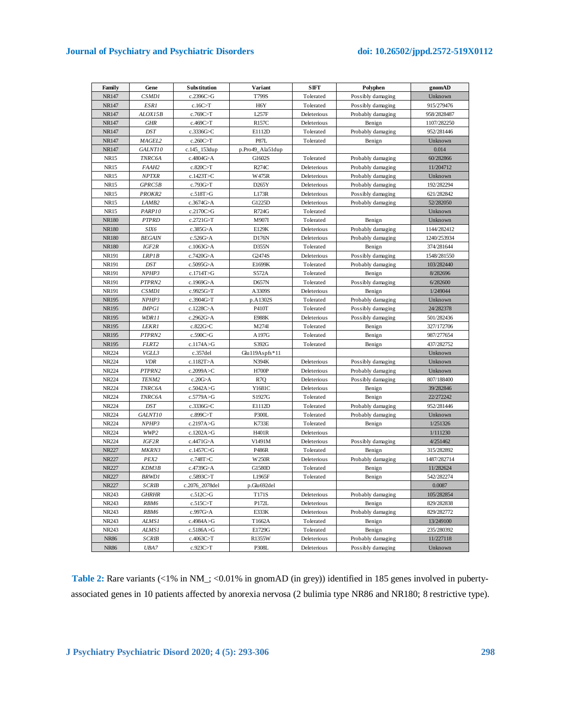# **Journal of Psychiatry and Psychiatric Disorders doi: 10.26502/jppd.2572-519X0112**

| Family       | Gene              | Substitution   | Variant          | <b>SIFT</b> | Polyphen          | gnomAD      |
|--------------|-------------------|----------------|------------------|-------------|-------------------|-------------|
| NR147        | <b>CSMD1</b>      | c.2396C>G      | T799S            | Tolerated   | Possibly damaging | Unknown     |
| NR147        | ESR1              | c.16C>T        | H <sub>6</sub> Y | Tolerated   | Possibly damaging | 915/279476  |
| NR147        | ALOX15B           | c.769C>T       | L257F            | Deleterious | Probably damaging | 958/2828487 |
| NR147        | <b>GHR</b>        | c.469C>T       | <b>R157C</b>     | Deleterious | Benign            | 1107/282250 |
| NR147        | <b>DST</b>        | c.3336G>C      | E1112D           | Tolerated   | Probably damaging | 952/281446  |
| NR147        | MAGEL2            | c.260C>T       | <b>P87L</b>      | Tolerated   | Benign            | Unknown     |
| NR147        | GALNT10           | c.145_153dup   | p.Pro49_Ala51dup |             |                   | 0.014       |
| <b>NR15</b>  | TNRC6A            | c.4804G>A      | G1602S           | Tolerated   | Probably damaging | 60/282866   |
| <b>NR15</b>  | FAAH2             | c.820C>T       | R274C            | Deleterious | Probably damaging | 11/204712   |
| <b>NR15</b>  | <b>NPTXR</b>      | c.1423T>C      | W475R            | Deleterious | Probably damaging | Unknown     |
| <b>NR15</b>  | GPRC5B            | c.793G>T       | D265Y            | Deleterious | Probably damaging | 192/282294  |
| <b>NR15</b>  | PROKR2            | c.518T>G       | L173R            | Deleterious | Possibly damaging | 621/282842  |
| <b>NR15</b>  | LAMB <sub>2</sub> | c.3674G>A      | G1225D           | Deleterious | Probably damaging | 52/282050   |
| <b>NR15</b>  | PARP10            | c.2170C>G      | R724G            | Tolerated   |                   | Unknown     |
| <b>NR180</b> | <b>PTPRD</b>      | c.2721G>T      | M907I            | Tolerated   | Benign            | Unknown     |
| <b>NR180</b> | SIX6              | c.385G>A       | E129K            | Deleterious | Probably damaging | 1144/282412 |
| <b>NR180</b> | <b>BEGAIN</b>     | c.526G>A       | D176N            | Deleterious | Probably damaging | 1240/253934 |
| <b>NR180</b> | IGF2R             | c.1063G>A      | D355N            | Tolerated   | Benign            | 374/281644  |
| <b>NR191</b> | LRPIB             | c.7420G>A      | G2474S           | Deleterious | Possibly damaging | 1548/281550 |
| NR191        | <b>DST</b>        | c.5095G>A      | E1699K           | Tolerated   | Probably damaging | 103/282440  |
| NR191        | NPHP3             | c.1714T>G      | S572A            | Tolerated   | Benign            | 8/282696    |
| NR191        | PTPRN2            | c.1969G>A      | D657N            | Tolerated   | Possibly damaging | 6/282600    |
| NR191        | CSMD1             | c.9925G>T      | A3309S           | Deleterious | Benign            | 1/249044    |
| <b>NR195</b> | NPHP3             | c.3904G>T      | p.A1302S         | Tolerated   | Probably damaging | Unknown     |
| NR195        | <b>IMPG1</b>      | c.1228C>A      | P410T            | Tolerated   | Possibly damaging | 24/282378   |
| <b>NR195</b> | WDR11             | c.2962G>A      | <b>E988K</b>     | Deleterious | Possibly damaging | 501/282436  |
| <b>NR195</b> | LEKR1             | c.822G>C       | M274I            | Tolerated   | Benign            | 327/172706  |
| NR195        | PTPRN2            | c.590C>G       | A197G            | Tolerated   | Benign            | 987/277654  |
| NR195        | FLRT2             | c.1174A>G      | S392G            | Tolerated   | Benign            | 437/282752  |
| <b>NR224</b> | VGLL3             | c.357del       | Glu119Aspfs*11   |             |                   | Unknown     |
| NR224        | <b>VDR</b>        | c.1182T>A      | N394K            | Deleterious | Possibly damaging | Unknown     |
| <b>NR224</b> | PTPRN2            | c.2099A>C      | <b>H700P</b>     | Deleterious | Probably damaging | Unknown     |
| NR224        | TENM2             | c.20G>A        | R7Q              | Deleterious | Possibly damaging | 807/188400  |
| NR224        | TNRC6A            | c.5042A>G      | Y1681C           | Deleterious | Benign            | 39/282846   |
| NR224        | TNRC6A            | c.5779A>G      | S1927G           | Tolerated   | Benign            | 22/272242   |
| <b>NR224</b> | <b>DST</b>        | c.3336G>C      | E1112D           | Tolerated   | Probably damaging | 952/281446  |
| NR224        | GALNT10           | c.899C>T       | <b>P300L</b>     | Tolerated   | Probably damaging | Unknown     |
| NR224        | NPHP3             | c.2197A>G      | <b>K733E</b>     | Tolerated   | Benign            | 1/251326    |
| NR224        | WWP2              | c.1202A>G      | H401R            | Deleterious |                   | 1/111230    |
| NR224        | IGF2R             | c.4471G>A      | V1491M           | Deleterious | Possibly damaging | 4/251462    |
| <b>NR227</b> | MKRN3             | c.1457C>G      | P486R            | Tolerated   | Benign            | 315/282892  |
| <b>NR227</b> | PEX2              | c.748T>C       | <b>W250R</b>     | Deleterious | Probably damaging | 1487/282714 |
| <b>NR227</b> | KDM3B             | c.4739G>A      | G1580D           | Tolerated   | Benign            | 11/282624   |
| <b>NR227</b> | <b>BRWD1</b>      | c.5893C>T      | L1965F           | Tolerated   | Benign            | 542/282274  |
| <b>NR227</b> | <b>SCRIB</b>      | c.2076_2078del | p.Glu692del      |             |                   | 0.0087      |
| NR243        | <b>GHRHR</b>      | c.512C>G       | T171S            | Deleterious | Probably damaging | 105/282854  |
| NR243        | RBM6              | c.515C>T       | P172L            | Deleterious | Benign            | 829/282838  |
| NR243        | RBM6              | c.997G>A       | E333K            | Deleterious | Probably damaging | 829/282772  |
| NR243        | ALMS1             | c.4984A>G      | T1662A           | Tolerated   | Benign            | 13/249100   |
| NR243        | ALMS1             | c.5186A>G      | E1729G           | Tolerated   | Benign            | 235/280392  |
| <b>NR86</b>  | <b>SCRIB</b>      | c.4063 $C>T$   | R1355W           | Deleterious | Probably damaging | 11/227118   |
| <b>NR86</b>  | UBA7              | c.923C>T       | P308L            | Deleterious | Possibly damaging | Unknown     |
|              |                   |                |                  |             |                   |             |

Table 2: Rare variants (<1% in NM\_; <0.01% in gnomAD (in grey)) identified in 185 genes involved in pubertyassociated genes in 10 patients affected by anorexia nervosa (2 bulimia type NR86 and NR180; 8 restrictive type).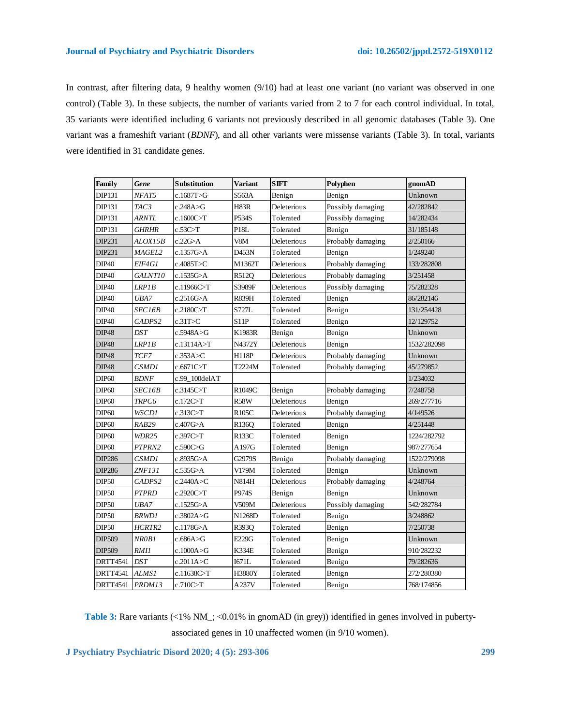In contrast, after filtering data, 9 healthy women (9/10) had at least one variant (no variant was observed in one control) (Table 3). In these subjects, the number of variants varied from 2 to 7 for each control individual. In total, 35 variants were identified including 6 variants not previously described in all genomic databases (Table 3). One variant was a frameshift variant (*BDNF*), and all other variants were missense variants (Table 3). In total, variants were identified in 31 candidate genes.

| Family            | Gene                | <b>Substitution</b> | <b>Variant</b>    | <b>SIFT</b> | Polyphen          | gnomAD      |
|-------------------|---------------------|---------------------|-------------------|-------------|-------------------|-------------|
| <b>DIP131</b>     | NFAT5               | c.1687T > G         | S563A             | Benign      | Benign            | Unknown     |
| <b>DIP131</b>     | TAC3                | c.248A > G          | <b>H83R</b>       | Deleterious | Possibly damaging | 42/282842   |
| DIP131            | <b>ARNTL</b>        | c.1600C>T           | P534S             | Tolerated   | Possibly damaging | 14/282434   |
| <b>DIP131</b>     | <i><b>GHRHR</b></i> | c.53C>T             | P <sub>18</sub> L | Tolerated   | Benign            | 31/185148   |
| DIP231            | ALOX15B             | c.22G>A             | V8M               | Deleterious | Probably damaging | 2/250166    |
| DIP231            | <b>MAGEL2</b>       | c.1357G>A           | D453N             | Tolerated   | Benign            | 1/249240    |
| <b>DIP40</b>      | EIF4G1              | c.4085T>C           | M1362T            | Deleterious | Probably damaging | 133/282808  |
| <b>DIP40</b>      | GALNT10             | c.1535G>A           | R512Q             | Deleterious | Probably damaging | 3/251458    |
| <b>DIP40</b>      | LRP1B               | c.11966 $C>T$       | S3989F            | Deleterious | Possibly damaging | 75/282328   |
| DIP <sub>40</sub> | UBA7                | c.2516G>A           | <b>R839H</b>      | Tolerated   | Benign            | 86/282146   |
| DIP <sub>40</sub> | <i>SEC16B</i>       | c.2180C>T           | S727L             | Tolerated   | Benign            | 131/254428  |
| <b>DIP40</b>      | CADPS2              | c.31T>C             | <b>S11P</b>       | Tolerated   | Benign            | 12/129752   |
| DIP48             | <b>DST</b>          | c.5948A>G           | K1983R            | Benign      | Benign            | Unknown     |
| DIP48             | LRP1B               | c.13114A>T          | N4372Y            | Deleterious | Benign            | 1532/282098 |
| <b>DIP48</b>      | TCF7                | c.353A > C          | <b>H118P</b>      | Deleterious | Probably damaging | Unknown     |
| <b>DIP48</b>      | CSMD1               | c.6671C>T           | T2224M            | Tolerated   | Probably damaging | 45/279852   |
| DIP <sub>60</sub> | <b>BDNF</b>         | c.99 100delAT       |                   |             |                   | 1/234032    |
| DIP <sub>60</sub> | <i>SEC16B</i>       | c.3145C>T           | R1049C            | Benign      | Probably damaging | 7/248758    |
| DIP <sub>60</sub> | <b>TRPC6</b>        | c.172C>T            | R58W              | Deleterious | Benign            | 269/277716  |
| <b>DIP60</b>      | WSCD1               | c.313C>T            | <b>R105C</b>      | Deleterious | Probably damaging | 4/149526    |
| DIP <sub>60</sub> | RAB29               | c.407G>A            | R136Q             | Tolerated   | Benign            | 4/251448    |
| DIP <sub>60</sub> | WDR25               | c.397C>T            | R133C             | Tolerated   | Benign            | 1224/282792 |
| <b>DIP60</b>      | PTPRN2              | c.590C>G            | A197G             | Tolerated   | Benign            | 987/277654  |
| <b>DIP286</b>     | CSMD1               | c.8935G>A           | G2979S            | Benign      | Probably damaging | 1522/279098 |
| <b>DIP286</b>     | ZNF131              | c.535G>A            | V179M             | Tolerated   | Benign            | Unknown     |
| <b>DIP50</b>      | CADPS2              | c.2440A > C         | N814H             | Deleterious | Probably damaging | 4/248764    |
| <b>DIP50</b>      | <b>PTPRD</b>        | c.2920C>T           | P974S             | Benign      | Benign            | Unknown     |
| <b>DIP50</b>      | UBA7                | c.1525G>A           | V509M             | Deleterious | Possibly damaging | 542/282784  |
| <b>DIP50</b>      | <b>BRWD1</b>        | c.3802A > G         | N1268D            | Tolerated   | Benign            | 3/248862    |
| <b>DIP50</b>      | HCRTR2              | c.1178G>A           | R393Q             | Tolerated   | Benign            | 7/250738    |
| DIP509            | NR0B1               | c.686A > G          | E229G             | Tolerated   | Benign            | Unknown     |
| DIP509            | RMII                | c.1000A>G           | <b>K334E</b>      | Tolerated   | Benign            | 910/282232  |
| <b>DRTT4541</b>   | <b>DST</b>          | c.2011A>C           | I671L             | Tolerated   | Benign            | 79/282636   |
| <b>DRTT4541</b>   | ALMS1               | c.11638C>T          | <b>H3880Y</b>     | Tolerated   | Benign            | 272/280380  |
| <b>DRTT4541</b>   | PRDM13              | c.710C>T            | A237V             | Tolerated   | Benign            | 768/174856  |

Table 3: Rare variants (<1% NM\_; <0.01% in gnomAD (in grey)) identified in genes involved in pubertyassociated genes in 10 unaffected women (in 9/10 women).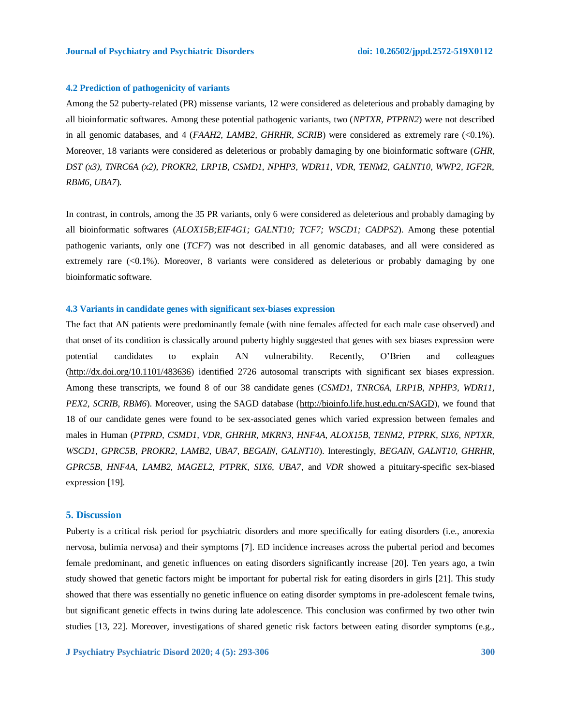# **4.2 Prediction of pathogenicity of variants**

Among the 52 puberty-related (PR) missense variants, 12 were considered as deleterious and probably damaging by all bioinformatic softwares. Among these potential pathogenic variants, two (*NPTXR, PTPRN2*) were not described in all genomic databases, and 4 (*FAAH2, LAMB2, GHRHR, SCRIB*) were considered as extremely rare (<0.1%). Moreover, 18 variants were considered as deleterious or probably damaging by one bioinformatic software (*GHR, DST (x3), TNRC6A (x2), PROKR2, LRP1B, CSMD1, NPHP3, WDR11, VDR, TENM2, GALNT10, WWP2, IGF2R, RBM6, UBA7*).

In contrast, in controls, among the 35 PR variants, only 6 were considered as deleterious and probably damaging by all bioinformatic softwares (*ALOX15B;EIF4G1; GALNT10; TCF7; WSCD1; CADPS2*). Among these potential pathogenic variants, only one (*TCF7*) was not described in all genomic databases, and all were considered as extremely rare (<0.1%). Moreover, 8 variants were considered as deleterious or probably damaging by one bioinformatic software.

# **4.3 Variants in candidate genes with significant sex-biases expression**

The fact that AN patients were predominantly female (with nine females affected for each male case observed) and that onset of its condition is classically around puberty highly suggested that genes with sex biases expression were potential candidates to explain AN vulnerability. Recently, O'Brien and colleagues [\(http://dx.doi.org/10.1101/483636\)](http://dx.doi.org/10.1101/483636) identified 2726 autosomal transcripts with significant sex biases expression. Among these transcripts, we found 8 of our 38 candidate genes (*CSMD1, TNRC6A, LRP1B, NPHP3, WDR11, PEX2, SCRIB, RBM6*). Moreover, using the SAGD database [\(http://bioinfo.life.hust.edu.cn/SAGD\)](http://bioinfo.life.hust.edu.cn/SAGD), we found that 18 of our candidate genes were found to be sex-associated genes which varied expression between females and males in Human (*PTPRD, CSMD1, VDR, GHRHR, MKRN3, HNF4A, ALOX15B, TENM2, PTPRK, SIX6, NPTXR, WSCD1, GPRC5B, PROKR2, LAMB2, UBA7, BEGAIN, GALNT10*). Interestingly, *BEGAIN, GALNT10, GHRHR, GPRC5B, HNF4A, LAMB2, MAGEL2, PTPRK, SIX6, UBA7*, and *VDR* showed a pituitary-specific sex-biased expression [19].

# **5. Discussion**

Puberty is a critical risk period for psychiatric disorders and more specifically for eating disorders (i.e., anorexia nervosa, bulimia nervosa) and their symptoms [7]. ED incidence increases across the pubertal period and becomes female predominant, and genetic influences on eating disorders significantly increase [20]. Ten years ago, a twin study showed that genetic factors might be important for pubertal risk for eating disorders in girls [21]. This study showed that there was essentially no genetic influence on eating disorder symptoms in pre-adolescent female twins, but significant genetic effects in twins during late adolescence. This conclusion was confirmed by two other twin studies [13, 22]. Moreover, investigations of shared genetic risk factors between eating disorder symptoms (e.g.,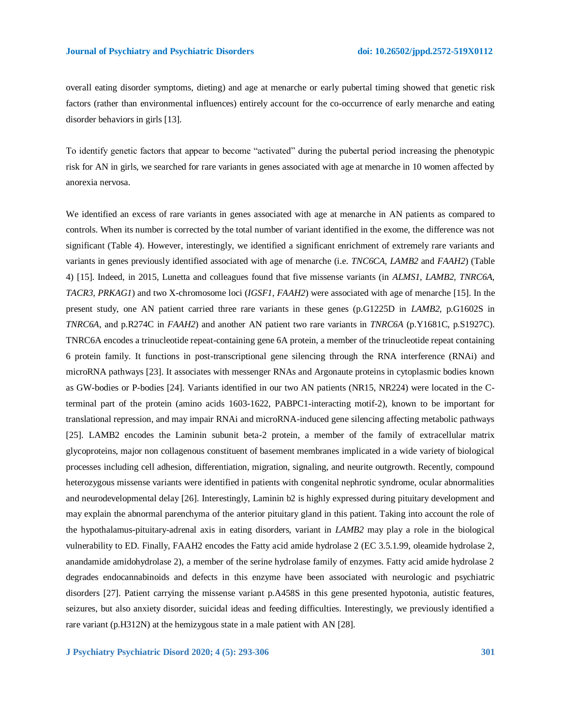overall eating disorder symptoms, dieting) and age at menarche or early pubertal timing showed that genetic risk factors (rather than environmental influences) entirely account for the co-occurrence of early menarche and eating disorder behaviors in girls [13].

To identify genetic factors that appear to become "activated" during the pubertal period increasing the phenotypic risk for AN in girls, we searched for rare variants in genes associated with age at menarche in 10 women affected by anorexia nervosa.

We identified an excess of rare variants in genes associated with age at menarche in AN patients as compared to controls. When its number is corrected by the total number of variant identified in the exome, the difference was not significant (Table 4). However, interestingly, we identified a significant enrichment of extremely rare variants and variants in genes previously identified associated with age of menarche (i.e. *TNC6CA, LAMB2* and *FAAH2*) (Table 4) [15]. Indeed, in 2015, Lunetta and colleagues found that five missense variants (in *ALMS1, LAMB2, TNRC6A, TACR3, PRKAG1*) and two X-chromosome loci (*IGSF1, FAAH2*) were associated with age of menarche [15]. In the present study, one AN patient carried three rare variants in these genes (p.G1225D in *LAMB2*, p.G1602S in *TNRC6A*, and p.R274C in *FAAH2*) and another AN patient two rare variants in *TNRC6A* (p.Y1681C, p.S1927C). TNRC6A encodes a trinucleotide repeat-containing gene 6A protein, a member of the trinucleotide repeat containing 6 protein family. It functions in post-transcriptional gene silencing through the RNA interference (RNAi) and microRNA pathways [23]. It associates with messenger RNAs and Argonaute proteins in cytoplasmic bodies known as GW-bodies or P-bodies [24]. Variants identified in our two AN patients (NR15, NR224) were located in the Cterminal part of the protein (amino acids 1603-1622, PABPC1-interacting motif-2), known to be important for translational repression, and may impair RNAi and microRNA-induced gene silencing affecting metabolic pathways [25]. LAMB2 encodes the Laminin subunit beta-2 protein, a member of the family of extracellular matrix glycoproteins, major non collagenous constituent of basement membranes implicated in a wide variety of biological processes including cell adhesion, differentiation, migration, signaling, and neurite outgrowth. Recently, compound heterozygous missense variants were identified in patients with congenital nephrotic syndrome, ocular abnormalities and neurodevelopmental delay [26]. Interestingly, Laminin b2 is highly expressed during pituitary development and may explain the abnormal parenchyma of the anterior pituitary gland in this patient. Taking into account the role of the hypothalamus-pituitary-adrenal axis in eating disorders, variant in *LAMB2* may play a role in the biological vulnerability to ED. Finally, FAAH2 encodes the Fatty acid amide hydrolase 2 (EC 3.5.1.99, oleamide hydrolase 2, anandamide amidohydrolase 2), a member of the serine hydrolase family of enzymes. Fatty acid amide hydrolase 2 degrades endocannabinoids and defects in this enzyme have been associated with neurologic and psychiatric disorders [27]. Patient carrying the missense variant p.A458S in this gene presented hypotonia, autistic features, seizures, but also anxiety disorder, suicidal ideas and feeding difficulties. Interestingly, we previously identified a rare variant (p.H312N) at the hemizygous state in a male patient with AN [28].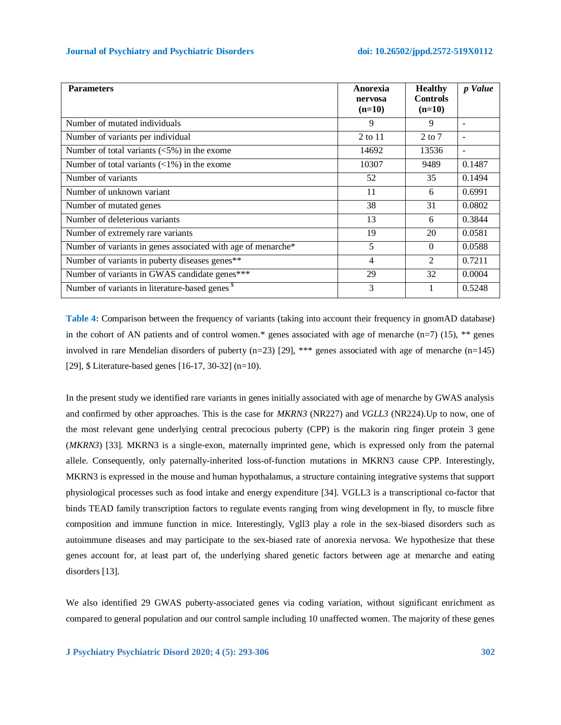| <b>Parameters</b>                                            | Anorexia<br>nervosa<br>$(n=10)$ | <b>Healthy</b><br><b>Controls</b><br>$(n=10)$ | p Value                  |
|--------------------------------------------------------------|---------------------------------|-----------------------------------------------|--------------------------|
| Number of mutated individuals                                | 9                               | 9                                             | $\overline{\phantom{a}}$ |
| Number of variants per individual                            | 2 to 11                         | $2$ to $7$                                    | $\overline{\phantom{0}}$ |
| Number of total variants $\langle 5\% \rangle$ in the exome  | 14692                           | 13536                                         | $\overline{\phantom{a}}$ |
| Number of total variants $\left($ < 1%) in the exome         | 10307                           | 9489                                          | 0.1487                   |
| Number of variants                                           | 52                              | 35                                            | 0.1494                   |
| Number of unknown variant                                    | 11                              | 6                                             | 0.6991                   |
| Number of mutated genes                                      | 38                              | 31                                            | 0.0802                   |
| Number of deleterious variants                               | 13                              | 6                                             | 0.3844                   |
| Number of extremely rare variants                            | 19                              | 20                                            | 0.0581                   |
| Number of variants in genes associated with age of menarche* | 5                               | $\Omega$                                      | 0.0588                   |
| Number of variants in puberty diseases genes**               | 4                               | $\mathfrak{D}$                                | 0.7211                   |
| Number of variants in GWAS candidate genes***                | 29                              | 32                                            | 0.0004                   |
| Number of variants in literature-based genes <sup>\$</sup>   | 3                               |                                               | 0.5248                   |

**Table 4:** Comparison between the frequency of variants (taking into account their frequency in gnomAD database) in the cohort of AN patients and of control women.\* genes associated with age of menarche  $(n=7)$  (15), \*\* genes involved in rare Mendelian disorders of puberty (n=23) [29], \*\*\* genes associated with age of menarche (n=145) [29], \$ Literature-based genes [16-17, 30-32] (n=10).

In the present study we identified rare variants in genes initially associated with age of menarche by GWAS analysis and confirmed by other approaches. This is the case for *MKRN3* (NR227) and *VGLL3* (NR224).Up to now, one of the most relevant gene underlying central precocious puberty (CPP) is the makorin ring finger protein 3 gene (*MKRN3*) [33]. MKRN3 is a single-exon, maternally imprinted gene, which is expressed only from the paternal allele. Consequently, only paternally-inherited loss-of-function mutations in MKRN3 cause CPP. Interestingly, MKRN3 is expressed in the mouse and human hypothalamus, a structure containing integrative systems that support physiological processes such as food intake and energy expenditure [34]. VGLL3 is a transcriptional co-factor that binds TEAD family transcription factors to regulate events ranging from wing development in fly, to muscle fibre composition and immune function in mice. Interestingly, Vgll3 play a role in the sex-biased disorders such as autoimmune diseases and may participate to the sex-biased rate of anorexia nervosa. We hypothesize that these genes account for, at least part of, the underlying shared genetic factors between age at menarche and eating disorders [13].

We also identified 29 GWAS puberty-associated genes via coding variation, without significant enrichment as compared to general population and our control sample including 10 unaffected women. The majority of these genes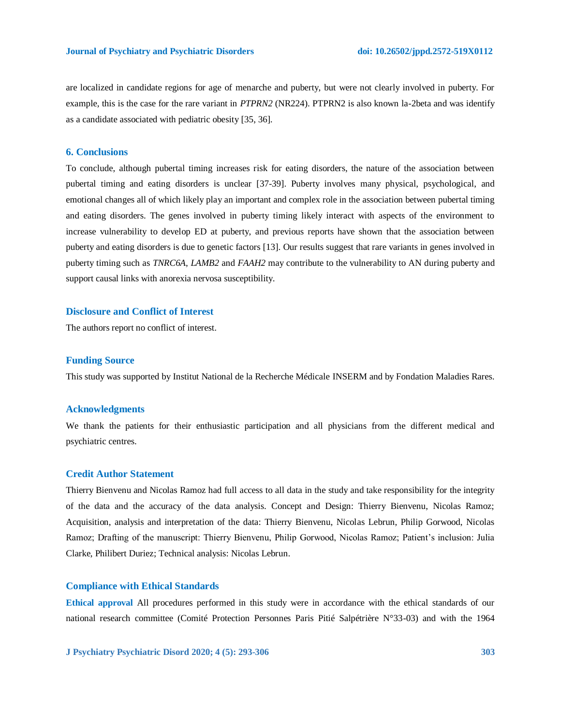are localized in candidate regions for age of menarche and puberty, but were not clearly involved in puberty. For example, this is the case for the rare variant in *PTPRN2* (NR224). PTPRN2 is also known la-2beta and was identify as a candidate associated with pediatric obesity [35, 36].

### **6. Conclusions**

To conclude, although pubertal timing increases risk for eating disorders, the nature of the association between pubertal timing and eating disorders is unclear [37-39]. Puberty involves many physical, psychological, and emotional changes all of which likely play an important and complex role in the association between pubertal timing and eating disorders. The genes involved in puberty timing likely interact with aspects of the environment to increase vulnerability to develop ED at puberty, and previous reports have shown that the association between puberty and eating disorders is due to genetic factors [13]. Our results suggest that rare variants in genes involved in puberty timing such as *TNRC6A*, *LAMB2* and *FAAH2* may contribute to the vulnerability to AN during puberty and support causal links with anorexia nervosa susceptibility.

# **Disclosure and Conflict of Interest**

The authors report no conflict of interest.

### **Funding Source**

This study was supported by Institut National de la Recherche Médicale INSERM and by Fondation Maladies Rares.

### **Acknowledgments**

We thank the patients for their enthusiastic participation and all physicians from the different medical and psychiatric centres.

# **Credit Author Statement**

Thierry Bienvenu and Nicolas Ramoz had full access to all data in the study and take responsibility for the integrity of the data and the accuracy of the data analysis. Concept and Design: Thierry Bienvenu, Nicolas Ramoz; Acquisition, analysis and interpretation of the data: Thierry Bienvenu, Nicolas Lebrun, Philip Gorwood, Nicolas Ramoz; Drafting of the manuscript: Thierry Bienvenu, Philip Gorwood, Nicolas Ramoz; Patient's inclusion: Julia Clarke, Philibert Duriez; Technical analysis: Nicolas Lebrun.

# **Compliance with Ethical Standards**

**Ethical approval** All procedures performed in this study were in accordance with the ethical standards of our national research committee (Comité Protection Personnes Paris Pitié Salpétrière N°33-03) and with the 1964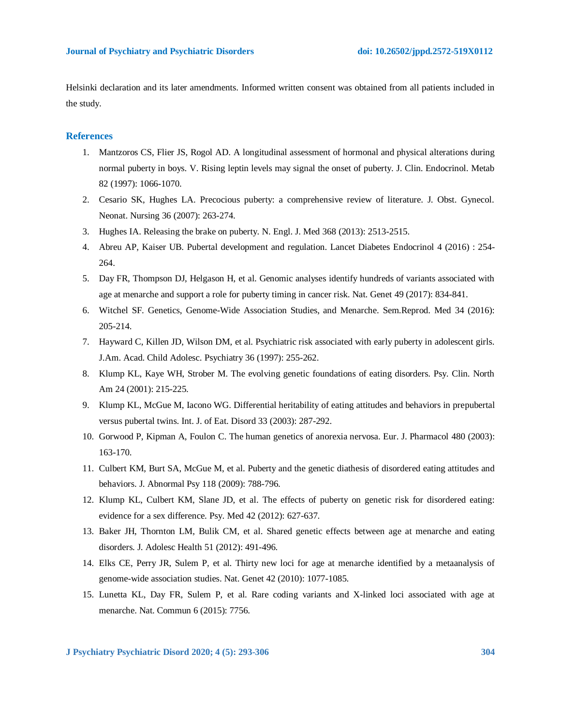Helsinki declaration and its later amendments. Informed written consent was obtained from all patients included in the study.

# **References**

- 1. Mantzoros CS, Flier JS, Rogol AD. A longitudinal assessment of hormonal and physical alterations during normal puberty in boys. V. Rising leptin levels may signal the onset of puberty. J. Clin. Endocrinol. Metab 82 (1997): 1066-1070.
- 2. Cesario SK, Hughes LA. Precocious puberty: a comprehensive review of literature. J. Obst. Gynecol. Neonat. Nursing 36 (2007): 263-274.
- 3. Hughes IA. Releasing the brake on puberty. N. Engl. J. Med 368 (2013): 2513-2515.
- 4. Abreu AP, Kaiser UB. Pubertal development and regulation. Lancet Diabetes Endocrinol 4 (2016) : 254- 264.
- 5. Day FR, Thompson DJ, Helgason H, et al. Genomic analyses identify hundreds of variants associated with age at menarche and support a role for puberty timing in cancer risk. Nat. Genet 49 (2017): 834-841.
- 6. Witchel SF. Genetics, Genome-Wide Association Studies, and Menarche. Sem.Reprod. Med 34 (2016): 205-214.
- 7. Hayward C, Killen JD, Wilson DM, et al. Psychiatric risk associated with early puberty in adolescent girls. J.Am. Acad. Child Adolesc. Psychiatry 36 (1997): 255-262.
- 8. Klump KL, Kaye WH, Strober M. The evolving genetic foundations of eating disorders. Psy. Clin. North Am 24 (2001): 215-225.
- 9. Klump KL, McGue M, Iacono WG. Differential heritability of eating attitudes and behaviors in prepubertal versus pubertal twins. Int. J. of Eat. Disord 33 (2003): 287-292.
- 10. Gorwood P, Kipman A, Foulon C. The human genetics of anorexia nervosa. Eur. J. Pharmacol 480 (2003): 163-170.
- 11. Culbert KM, Burt SA, McGue M, et al. Puberty and the genetic diathesis of disordered eating attitudes and behaviors. J. Abnormal Psy 118 (2009): 788-796.
- 12. Klump KL, Culbert KM, Slane JD, et al. The effects of puberty on genetic risk for disordered eating: evidence for a sex difference. Psy. Med 42 (2012): 627-637.
- 13. Baker JH, Thornton LM, Bulik CM, et al. Shared genetic effects between age at menarche and eating disorders. J. Adolesc Health 51 (2012): 491-496.
- 14. Elks CE, Perry JR, Sulem P, et al. Thirty new loci for age at menarche identified by a metaanalysis of genome-wide association studies. Nat. Genet 42 (2010): 1077-1085.
- 15. Lunetta KL, Day FR, Sulem P, et al. Rare coding variants and X-linked loci associated with age at menarche. Nat. Commun 6 (2015): 7756.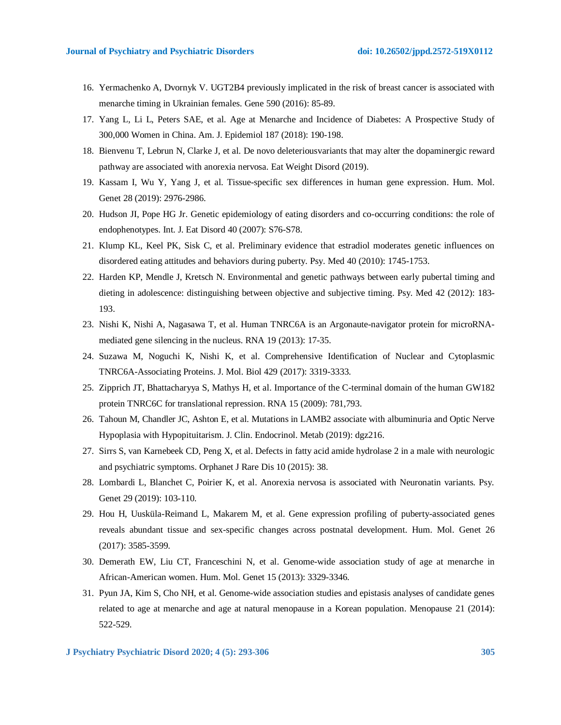- 16. Yermachenko A, Dvornyk V. UGT2B4 previously implicated in the risk of breast cancer is associated with menarche timing in Ukrainian females. Gene 590 (2016): 85-89.
- 17. Yang L, Li L, Peters SAE, et al. Age at Menarche and Incidence of Diabetes: A Prospective Study of 300,000 Women in China. Am. J. Epidemiol 187 (2018): 190-198.
- 18. Bienvenu T, Lebrun N, Clarke J, et al. De novo deleteriousvariants that may alter the dopaminergic reward pathway are associated with anorexia nervosa. Eat Weight Disord (2019).
- 19. Kassam I, Wu Y, Yang J, et al. Tissue-specific sex differences in human gene expression. Hum. Mol. Genet 28 (2019): 2976-2986.
- 20. Hudson JI, Pope HG Jr. Genetic epidemiology of eating disorders and co-occurring conditions: the role of endophenotypes. Int. J. Eat Disord 40 (2007): S76-S78.
- 21. Klump KL, Keel PK, Sisk C, et al. Preliminary evidence that estradiol moderates genetic influences on disordered eating attitudes and behaviors during puberty. Psy. Med 40 (2010): 1745-1753.
- 22. Harden KP, Mendle J, Kretsch N. Environmental and genetic pathways between early pubertal timing and dieting in adolescence: distinguishing between objective and subjective timing. Psy. Med 42 (2012): 183-193.
- 23. Nishi K, Nishi A, Nagasawa T, et al. Human TNRC6A is an Argonaute-navigator protein for microRNAmediated gene silencing in the nucleus. RNA 19 (2013): 17-35.
- 24. Suzawa M, Noguchi K, Nishi K, et al. Comprehensive Identification of Nuclear and Cytoplasmic TNRC6A-Associating Proteins. J. Mol. Biol 429 (2017): 3319-3333.
- 25. Zipprich JT, Bhattacharyya S, Mathys H, et al. Importance of the C-terminal domain of the human GW182 protein TNRC6C for translational repression. RNA 15 (2009): 781,793.
- 26. Tahoun M, Chandler JC, Ashton E, et al. Mutations in LAMB2 associate with albuminuria and Optic Nerve Hypoplasia with Hypopituitarism. J. Clin. Endocrinol. Metab (2019): dgz216.
- 27. Sirrs S, van Karnebeek CD, Peng X, et al. Defects in fatty acid amide hydrolase 2 in a male with neurologic and psychiatric symptoms. Orphanet J Rare Dis 10 (2015): 38.
- 28. Lombardi L, Blanchet C, Poirier K, et al. Anorexia nervosa is associated with Neuronatin variants. Psy. Genet 29 (2019): 103-110.
- 29. Hou H, Uusküla-Reimand L, Makarem M, et al. Gene expression profiling of puberty-associated genes reveals abundant tissue and sex-specific changes across postnatal development. Hum. Mol. Genet 26 (2017): 3585-3599.
- 30. Demerath EW, Liu CT, Franceschini N, et al. Genome-wide association study of age at menarche in African-American women. Hum. Mol. Genet 15 (2013): 3329-3346.
- 31. Pyun JA, Kim S, Cho NH, et al. Genome-wide association studies and epistasis analyses of candidate genes related to age at menarche and age at natural menopause in a Korean population. Menopause 21 (2014): 522-529.